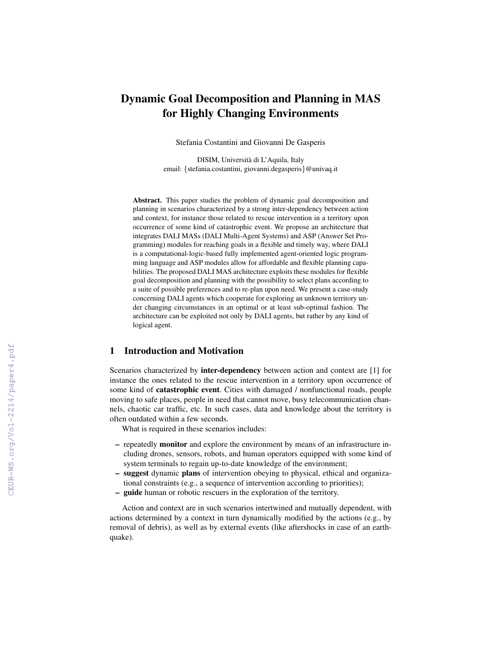# Dynamic Goal Decomposition and Planning in MAS for Highly Changing Environments

Stefania Costantini and Giovanni De Gasperis

DISIM, Universita di L'Aquila, Italy ` email: {stefania.costantini, giovanni.degasperis}@univaq.it

Abstract. This paper studies the problem of dynamic goal decomposition and planning in scenarios characterized by a strong inter-dependency between action and context, for instance those related to rescue intervention in a territory upon occurrence of some kind of catastrophic event. We propose an architecture that integrates DALI MASs (DALI Multi-Agent Systems) and ASP (Answer Set Programming) modules for reaching goals in a flexible and timely way, where DALI is a computational-logic-based fully implemented agent-oriented logic programming language and ASP modules allow for affordable and flexible planning capabilities. The proposed DALI MAS architecture exploits these modules for flexible goal decomposition and planning with the possibility to select plans according to a suite of possible preferences and to re-plan upon need. We present a case-study concerning DALI agents which cooperate for exploring an unknown territory under changing circumstances in an optimal or at least sub-optimal fashion. The architecture can be exploited not only by DALI agents, but rather by any kind of logical agent.

# 1 Introduction and Motivation

Scenarios characterized by inter-dependency between action and context are [1] for instance the ones related to the rescue intervention in a territory upon occurrence of some kind of catastrophic event. Cities with damaged / nonfunctional roads, people moving to safe places, people in need that cannot move, busy telecommunication channels, chaotic car traffic, etc. In such cases, data and knowledge about the territory is often outdated within a few seconds.

What is required in these scenarios includes:

- repeatedly monitor and explore the environment by means of an infrastructure including drones, sensors, robots, and human operators equipped with some kind of system terminals to regain up-to-date knowledge of the environment;
- suggest dynamic plans of intervention obeying to physical, ethical and organizational constraints (e.g., a sequence of intervention according to priorities);
- guide human or robotic rescuers in the exploration of the territory.

Action and context are in such scenarios intertwined and mutually dependent, with actions determined by a context in turn dynamically modified by the actions (e.g., by removal of debris), as well as by external events (like aftershocks in case of an earthquake).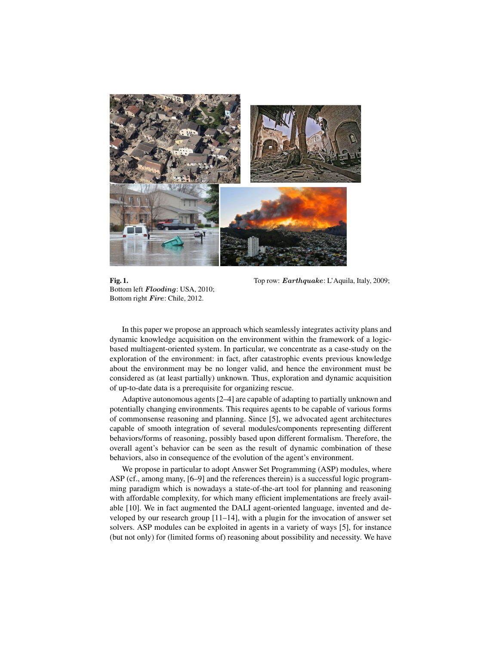

Bottom left Flooding: USA, 2010; Bottom right Fire: Chile, 2012.

Fig. 1. Top row: *Earthquake:* L'Aquila, Italy, 2009;

In this paper we propose an approach which seamlessly integrates activity plans and dynamic knowledge acquisition on the environment within the framework of a logicbased multiagent-oriented system. In particular, we concentrate as a case-study on the exploration of the environment: in fact, after catastrophic events previous knowledge about the environment may be no longer valid, and hence the environment must be considered as (at least partially) unknown. Thus, exploration and dynamic acquisition of up-to-date data is a prerequisite for organizing rescue.

Adaptive autonomous agents [2–4] are capable of adapting to partially unknown and potentially changing environments. This requires agents to be capable of various forms of commonsense reasoning and planning. Since [5], we advocated agent architectures capable of smooth integration of several modules/components representing different behaviors/forms of reasoning, possibly based upon different formalism. Therefore, the overall agent's behavior can be seen as the result of dynamic combination of these behaviors, also in consequence of the evolution of the agent's environment.

We propose in particular to adopt Answer Set Programming (ASP) modules, where ASP (cf., among many, [6–9] and the references therein) is a successful logic programming paradigm which is nowadays a state-of-the-art tool for planning and reasoning with affordable complexity, for which many efficient implementations are freely available [10]. We in fact augmented the DALI agent-oriented language, invented and developed by our research group [11–14], with a plugin for the invocation of answer set solvers. ASP modules can be exploited in agents in a variety of ways [5], for instance (but not only) for (limited forms of) reasoning about possibility and necessity. We have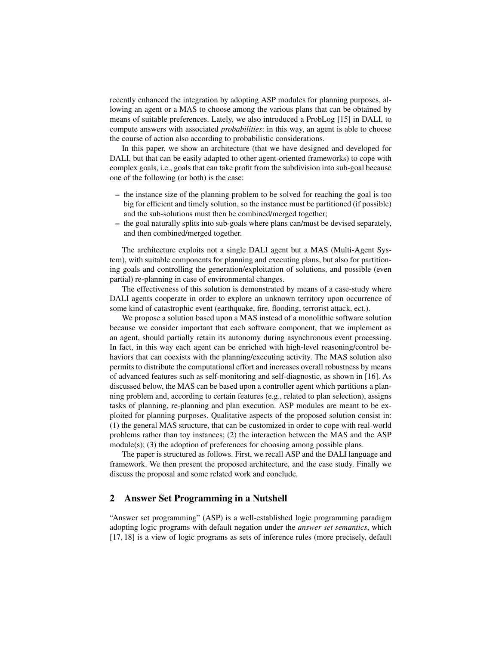recently enhanced the integration by adopting ASP modules for planning purposes, allowing an agent or a MAS to choose among the various plans that can be obtained by means of suitable preferences. Lately, we also introduced a ProbLog [15] in DALI, to compute answers with associated *probabilities*: in this way, an agent is able to choose the course of action also according to probabilistic considerations.

In this paper, we show an architecture (that we have designed and developed for DALI, but that can be easily adapted to other agent-oriented frameworks) to cope with complex goals, i.e., goals that can take profit from the subdivision into sub-goal because one of the following (or both) is the case:

- the instance size of the planning problem to be solved for reaching the goal is too big for efficient and timely solution, so the instance must be partitioned (if possible) and the sub-solutions must then be combined/merged together;
- the goal naturally splits into sub-goals where plans can/must be devised separately, and then combined/merged together.

The architecture exploits not a single DALI agent but a MAS (Multi-Agent System), with suitable components for planning and executing plans, but also for partitioning goals and controlling the generation/exploitation of solutions, and possible (even partial) re-planning in case of environmental changes.

The effectiveness of this solution is demonstrated by means of a case-study where DALI agents cooperate in order to explore an unknown territory upon occurrence of some kind of catastrophic event (earthquake, fire, flooding, terrorist attack, ect.).

We propose a solution based upon a MAS instead of a monolithic software solution because we consider important that each software component, that we implement as an agent, should partially retain its autonomy during asynchronous event processing. In fact, in this way each agent can be enriched with high-level reasoning/control behaviors that can coexists with the planning/executing activity. The MAS solution also permits to distribute the computational effort and increases overall robustness by means of advanced features such as self-monitoring and self-diagnostic, as shown in [16]. As discussed below, the MAS can be based upon a controller agent which partitions a planning problem and, according to certain features (e.g., related to plan selection), assigns tasks of planning, re-planning and plan execution. ASP modules are meant to be exploited for planning purposes. Qualitative aspects of the proposed solution consist in: (1) the general MAS structure, that can be customized in order to cope with real-world problems rather than toy instances; (2) the interaction between the MAS and the ASP module(s); (3) the adoption of preferences for choosing among possible plans.

The paper is structured as follows. First, we recall ASP and the DALI language and framework. We then present the proposed architecture, and the case study. Finally we discuss the proposal and some related work and conclude.

### 2 Answer Set Programming in a Nutshell

"Answer set programming" (ASP) is a well-established logic programming paradigm adopting logic programs with default negation under the *answer set semantics*, which [17, 18] is a view of logic programs as sets of inference rules (more precisely, default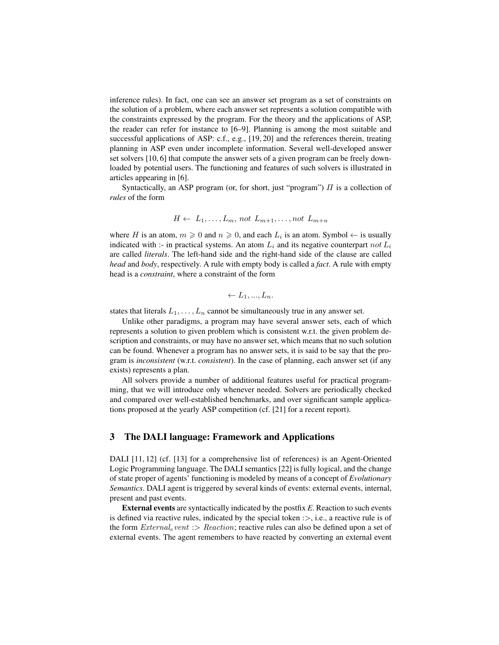inference rules). In fact, one can see an answer set program as a set of constraints on the solution of a problem, where each answer set represents a solution compatible with the constraints expressed by the program. For the theory and the applications of ASP, the reader can refer for instance to [6–9]. Planning is among the most suitable and successful applications of ASP: c.f., e.g., [19, 20] and the references therein, treating planning in ASP even under incomplete information. Several well-developed answer set solvers [10, 6] that compute the answer sets of a given program can be freely downloaded by potential users. The functioning and features of such solvers is illustrated in articles appearing in [6].

Syntactically, an ASP program (or, for short, just "program")  $\Pi$  is a collection of *rules* of the form

$$
H \leftarrow L_1, \ldots, L_m, \text{ not } L_{m+1}, \ldots, \text{not } L_{m+n}
$$

where H is an atom,  $m \geq 0$  and  $n \geq 0$ , and each  $L_i$  is an atom. Symbol  $\leftarrow$  is usually indicated with :- in practical systems. An atom  $L_i$  and its negative counterpart not  $L_i$ are called *literals*. The left-hand side and the right-hand side of the clause are called *head* and *body*, respectively. A rule with empty body is called a *fact*. A rule with empty head is a *constraint*, where a constraint of the form

$$
\leftarrow L_1, ..., L_n.
$$

states that literals  $L_1, \ldots, L_n$  cannot be simultaneously true in any answer set.

Unlike other paradigms, a program may have several answer sets, each of which represents a solution to given problem which is consistent w.r.t. the given problem description and constraints, or may have no answer set, which means that no such solution can be found. Whenever a program has no answer sets, it is said to be say that the program is *inconsistent* (w.r.t. *consistent*). In the case of planning, each answer set (if any exists) represents a plan.

All solvers provide a number of additional features useful for practical programming, that we will introduce only whenever needed. Solvers are periodically checked and compared over well-established benchmarks, and over significant sample applications proposed at the yearly ASP competition (cf. [21] for a recent report).

### 3 The DALI language: Framework and Applications

DALI [11, 12] (cf. [13] for a comprehensive list of references) is an Agent-Oriented Logic Programming language. The DALI semantics [22] is fully logical, and the change of state proper of agents' functioning is modeled by means of a concept of *Evolutionary Semantics*. DALI agent is triggered by several kinds of events: external events, internal, present and past events.

External events are syntactically indicated by the postfix *E*. Reaction to such events is defined via reactive rules, indicated by the special token  $\Rightarrow$ , i.e., a reactive rule is of the form  $External_e$  vent :> Reaction; reactive rules can also be defined upon a set of external events. The agent remembers to have reacted by converting an external event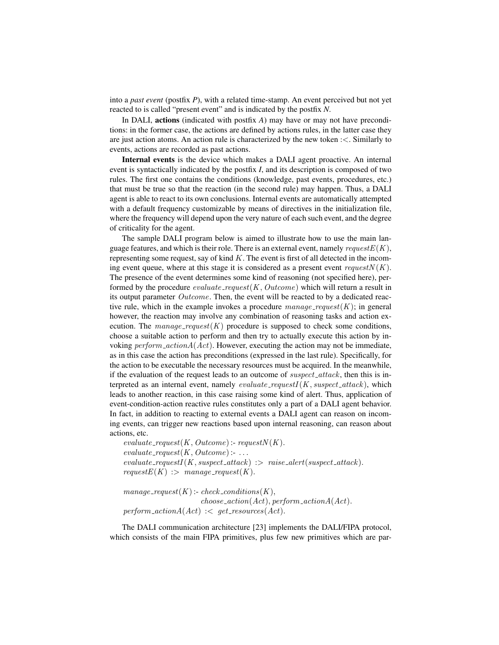into a *past event* (postfix *P*), with a related time-stamp. An event perceived but not yet reacted to is called "present event" and is indicated by the postfix *N*.

In DALI, actions (indicated with postfix *A*) may have or may not have preconditions: in the former case, the actions are defined by actions rules, in the latter case they are just action atoms. An action rule is characterized by the new token :<. Similarly to events, actions are recorded as past actions.

Internal events is the device which makes a DALI agent proactive. An internal event is syntactically indicated by the postfix *I*, and its description is composed of two rules. The first one contains the conditions (knowledge, past events, procedures, etc.) that must be true so that the reaction (in the second rule) may happen. Thus, a DALI agent is able to react to its own conclusions. Internal events are automatically attempted with a default frequency customizable by means of directives in the initialization file, where the frequency will depend upon the very nature of each such event, and the degree of criticality for the agent.

The sample DALI program below is aimed to illustrate how to use the main language features, and which is their role. There is an external event, namely request  $E(K)$ , representing some request, say of kind  $K$ . The event is first of all detected in the incoming event queue, where at this stage it is considered as a present event  $requestN(K)$ . The presence of the event determines some kind of reasoning (not specified here), performed by the procedure  $evaluate\_request(K, Outcome)$  which will return a result in its output parameter  $Outcome$ . Then, the event will be reacted to by a dedicated reactive rule, which in the example invokes a procedure  $manaq$ e request(K); in general however, the reaction may involve any combination of reasoning tasks and action execution. The manage\_request(K) procedure is supposed to check some conditions, choose a suitable action to perform and then try to actually execute this action by invoking  $perform\_actionA(Act)$ . However, executing the action may not be immediate, as in this case the action has preconditions (expressed in the last rule). Specifically, for the action to be executable the necessary resources must be acquired. In the meanwhile, if the evaluation of the request leads to an outcome of  $suspect\_attack$ , then this is interpreted as an internal event, namely *evaluate\_requestI*( $K$ , *suspect\_attack*), which leads to another reaction, in this case raising some kind of alert. Thus, application of event-condition-action reactive rules constitutes only a part of a DALI agent behavior. In fact, in addition to reacting to external events a DALI agent can reason on incoming events, can trigger new reactions based upon internal reasoning, can reason about actions, etc.

```
evaluate\_request(K, Outcome): request(N(K)).evaluate\_request(K, Outcome):...
evaluate\_requestI(K, suspect\_attack) :> raise_alert(suspect_attack).
requestE(K) :> manage_request(K).
```

```
manage\_request(K): check\_conditions(K),choose\_action(Act), perform\_actionA(Act).perform\_actionA(Act) \leq get\_resources(Act).
```
The DALI communication architecture [23] implements the DALI/FIPA protocol, which consists of the main FIPA primitives, plus few new primitives which are par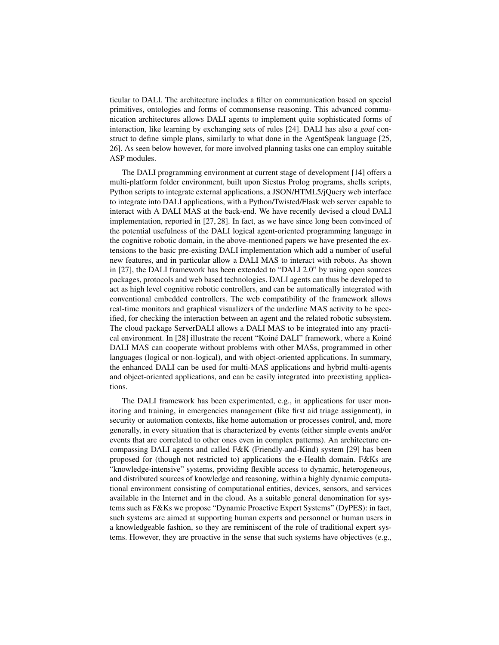ticular to DALI. The architecture includes a filter on communication based on special primitives, ontologies and forms of commonsense reasoning. This advanced communication architectures allows DALI agents to implement quite sophisticated forms of interaction, like learning by exchanging sets of rules [24]. DALI has also a *goal* construct to define simple plans, similarly to what done in the AgentSpeak language [25, 26]. As seen below however, for more involved planning tasks one can employ suitable ASP modules.

The DALI programming environment at current stage of development [14] offers a multi-platform folder environment, built upon Sicstus Prolog programs, shells scripts, Python scripts to integrate external applications, a JSON/HTML5/jQuery web interface to integrate into DALI applications, with a Python/Twisted/Flask web server capable to interact with A DALI MAS at the back-end. We have recently devised a cloud DALI implementation, reported in [27, 28]. In fact, as we have since long been convinced of the potential usefulness of the DALI logical agent-oriented programming language in the cognitive robotic domain, in the above-mentioned papers we have presented the extensions to the basic pre-existing DALI implementation which add a number of useful new features, and in particular allow a DALI MAS to interact with robots. As shown in [27], the DALI framework has been extended to "DALI 2.0" by using open sources packages, protocols and web based technologies. DALI agents can thus be developed to act as high level cognitive robotic controllers, and can be automatically integrated with conventional embedded controllers. The web compatibility of the framework allows real-time monitors and graphical visualizers of the underline MAS activity to be specified, for checking the interaction between an agent and the related robotic subsystem. The cloud package ServerDALI allows a DALI MAS to be integrated into any practical environment. In [28] illustrate the recent "Koiné DALI" framework, where a Koiné DALI MAS can cooperate without problems with other MASs, programmed in other languages (logical or non-logical), and with object-oriented applications. In summary, the enhanced DALI can be used for multi-MAS applications and hybrid multi-agents and object-oriented applications, and can be easily integrated into preexisting applications.

The DALI framework has been experimented, e.g., in applications for user monitoring and training, in emergencies management (like first aid triage assignment), in security or automation contexts, like home automation or processes control, and, more generally, in every situation that is characterized by events (either simple events and/or events that are correlated to other ones even in complex patterns). An architecture encompassing DALI agents and called F&K (Friendly-and-Kind) system [29] has been proposed for (though not restricted to) applications the e-Health domain. F&Ks are "knowledge-intensive" systems, providing flexible access to dynamic, heterogeneous, and distributed sources of knowledge and reasoning, within a highly dynamic computational environment consisting of computational entities, devices, sensors, and services available in the Internet and in the cloud. As a suitable general denomination for systems such as F&Ks we propose "Dynamic Proactive Expert Systems" (DyPES): in fact, such systems are aimed at supporting human experts and personnel or human users in a knowledgeable fashion, so they are reminiscent of the role of traditional expert systems. However, they are proactive in the sense that such systems have objectives (e.g.,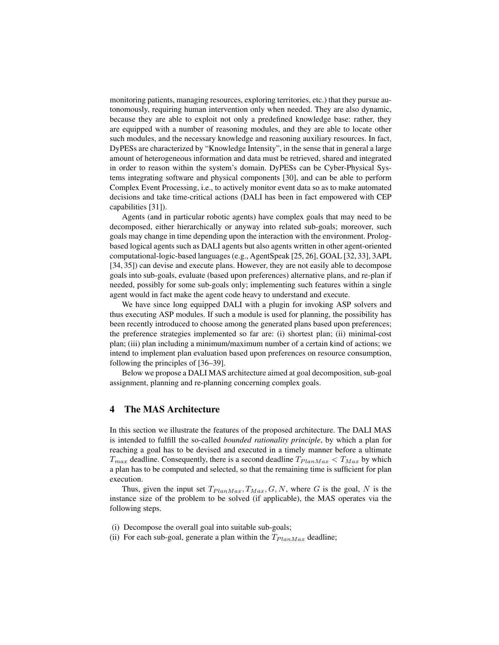monitoring patients, managing resources, exploring territories, etc.) that they pursue autonomously, requiring human intervention only when needed. They are also dynamic, because they are able to exploit not only a predefined knowledge base: rather, they are equipped with a number of reasoning modules, and they are able to locate other such modules, and the necessary knowledge and reasoning auxiliary resources. In fact, DyPESs are characterized by "Knowledge Intensity", in the sense that in general a large amount of heterogeneous information and data must be retrieved, shared and integrated in order to reason within the system's domain. DyPESs can be Cyber-Physical Systems integrating software and physical components [30], and can be able to perform Complex Event Processing, i.e., to actively monitor event data so as to make automated decisions and take time-critical actions (DALI has been in fact empowered with CEP capabilities [31]).

Agents (and in particular robotic agents) have complex goals that may need to be decomposed, either hierarchically or anyway into related sub-goals; moreover, such goals may change in time depending upon the interaction with the environment. Prologbased logical agents such as DALI agents but also agents written in other agent-oriented computational-logic-based languages (e.g., AgentSpeak [25, 26], GOAL [32, 33], 3APL [34, 35]) can devise and execute plans. However, they are not easily able to decompose goals into sub-goals, evaluate (based upon preferences) alternative plans, and re-plan if needed, possibly for some sub-goals only; implementing such features within a single agent would in fact make the agent code heavy to understand and execute.

We have since long equipped DALI with a plugin for invoking ASP solvers and thus executing ASP modules. If such a module is used for planning, the possibility has been recently introduced to choose among the generated plans based upon preferences; the preference strategies implemented so far are: (i) shortest plan; (ii) minimal-cost plan; (iii) plan including a minimum/maximum number of a certain kind of actions; we intend to implement plan evaluation based upon preferences on resource consumption, following the principles of [36–39].

Below we propose a DALI MAS architecture aimed at goal decomposition, sub-goal assignment, planning and re-planning concerning complex goals.

# 4 The MAS Architecture

In this section we illustrate the features of the proposed architecture. The DALI MAS is intended to fulfill the so-called *bounded rationality principle*, by which a plan for reaching a goal has to be devised and executed in a timely manner before a ultimate  $T_{max}$  deadline. Consequently, there is a second deadline  $T_{PlanMax} < T_{Max}$  by which a plan has to be computed and selected, so that the remaining time is sufficient for plan execution.

Thus, given the input set  $T_{PlanMax}$ ,  $T_{Max}$ ,  $G$ ,  $N$ , where  $G$  is the goal,  $N$  is the instance size of the problem to be solved (if applicable), the MAS operates via the following steps.

- (i) Decompose the overall goal into suitable sub-goals;
- (ii) For each sub-goal, generate a plan within the  $T_{PlanMax}$  deadline;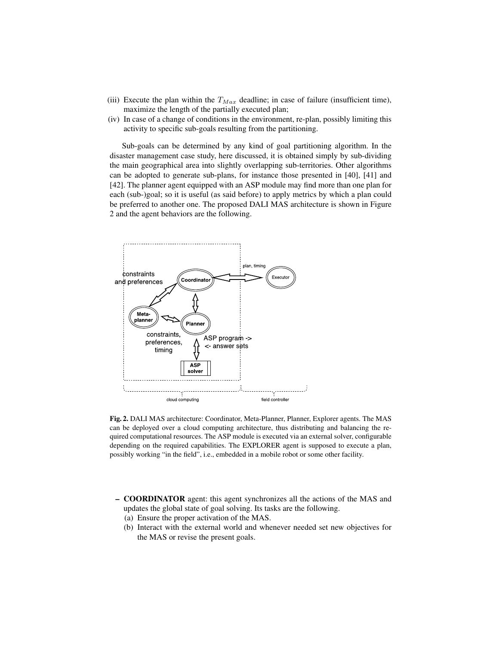- (iii) Execute the plan within the  $T_{Max}$  deadline; in case of failure (insufficient time), maximize the length of the partially executed plan;
- (iv) In case of a change of conditions in the environment, re-plan, possibly limiting this activity to specific sub-goals resulting from the partitioning.

Sub-goals can be determined by any kind of goal partitioning algorithm. In the disaster management case study, here discussed, it is obtained simply by sub-dividing the main geographical area into slightly overlapping sub-territories. Other algorithms can be adopted to generate sub-plans, for instance those presented in [40], [41] and [42]. The planner agent equipped with an ASP module may find more than one plan for each (sub-)goal; so it is useful (as said before) to apply metrics by which a plan could be preferred to another one. The proposed DALI MAS architecture is shown in Figure 2 and the agent behaviors are the following.



Fig. 2. DALI MAS architecture: Coordinator, Meta-Planner, Planner, Explorer agents. The MAS can be deployed over a cloud computing architecture, thus distributing and balancing the required computational resources. The ASP module is executed via an external solver, configurable depending on the required capabilities. The EXPLORER agent is supposed to execute a plan, possibly working "in the field", i.e., embedded in a mobile robot or some other facility.

- COORDINATOR agent: this agent synchronizes all the actions of the MAS and updates the global state of goal solving. Its tasks are the following.
	- (a) Ensure the proper activation of the MAS.
	- (b) Interact with the external world and whenever needed set new objectives for the MAS or revise the present goals.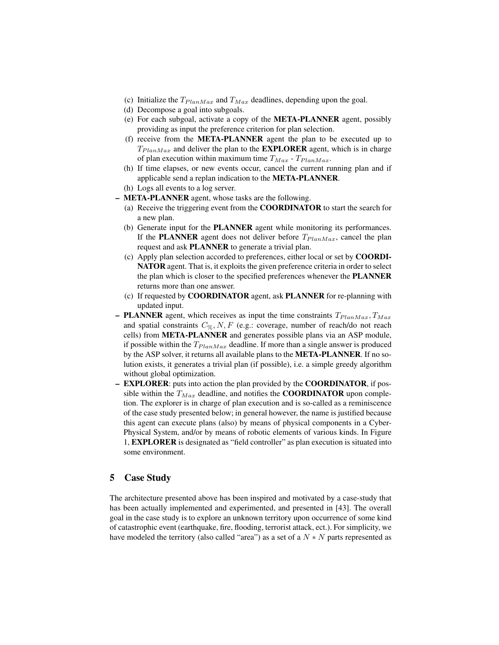- (c) Initialize the  $T_{PlanMax}$  and  $T_{Max}$  deadlines, depending upon the goal.
- (d) Decompose a goal into subgoals.
- (e) For each subgoal, activate a copy of the META-PLANNER agent, possibly providing as input the preference criterion for plan selection.
- (f) receive from the META-PLANNER agent the plan to be executed up to  $T_{PlanMax}$  and deliver the plan to the **EXPLORER** agent, which is in charge of plan execution within maximum time  $T_{Max}$  -  $T_{PlanMax}$ .
- (h) If time elapses, or new events occur, cancel the current running plan and if applicable send a replan indication to the META-PLANNER.
- (h) Logs all events to a log server.
- META-PLANNER agent, whose tasks are the following.
	- (a) Receive the triggering event from the COORDINATOR to start the search for a new plan.
	- (b) Generate input for the PLANNER agent while monitoring its performances. If the PLANNER agent does not deliver before  $T_{PlanMax}$ , cancel the plan request and ask PLANNER to generate a trivial plan.
	- (c) Apply plan selection accorded to preferences, either local or set by COORDI-NATOR agent. That is, it exploits the given preference criteria in order to select the plan which is closer to the specified preferences whenever the PLANNER returns more than one answer.
	- (c) If requested by COORDINATOR agent, ask PLANNER for re-planning with updated input.
- PLANNER agent, which receives as input the time constraints  $T_{PlanMax}$ ,  $T_{Max}$ and spatial constraints  $C_{\%}, N, F$  (e.g.: coverage, number of reach/do not reach cells) from META-PLANNER and generates possible plans via an ASP module, if possible within the  $T_{PlanMax}$  deadline. If more than a single answer is produced by the ASP solver, it returns all available plans to the META-PLANNER. If no solution exists, it generates a trivial plan (if possible), i.e. a simple greedy algorithm without global optimization.
- EXPLORER: puts into action the plan provided by the COORDINATOR, if possible within the  $T_{Max}$  deadline, and notifies the **COORDINATOR** upon completion. The explorer is in charge of plan execution and is so-called as a reminiscence of the case study presented below; in general however, the name is justified because this agent can execute plans (also) by means of physical components in a Cyber-Physical System, and/or by means of robotic elements of various kinds. In Figure 1, EXPLORER is designated as "field controller" as plan execution is situated into some environment.

## 5 Case Study

The architecture presented above has been inspired and motivated by a case-study that has been actually implemented and experimented, and presented in [43]. The overall goal in the case study is to explore an unknown territory upon occurrence of some kind of catastrophic event (earthquake, fire, flooding, terrorist attack, ect.). For simplicity, we have modeled the territory (also called "area") as a set of a  $N*N$  parts represented as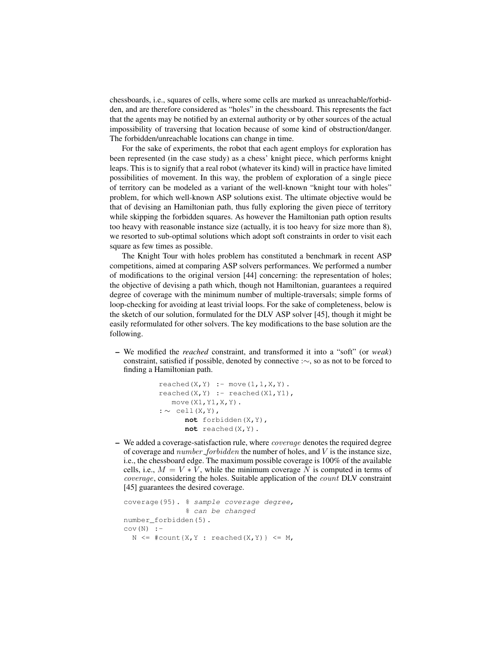chessboards, i.e., squares of cells, where some cells are marked as unreachable/forbidden, and are therefore considered as "holes" in the chessboard. This represents the fact that the agents may be notified by an external authority or by other sources of the actual impossibility of traversing that location because of some kind of obstruction/danger. The forbidden/unreachable locations can change in time.

For the sake of experiments, the robot that each agent employs for exploration has been represented (in the case study) as a chess' knight piece, which performs knight leaps. This is to signify that a real robot (whatever its kind) will in practice have limited possibilities of movement. In this way, the problem of exploration of a single piece of territory can be modeled as a variant of the well-known "knight tour with holes" problem, for which well-known ASP solutions exist. The ultimate objective would be that of devising an Hamiltonian path, thus fully exploring the given piece of territory while skipping the forbidden squares. As however the Hamiltonian path option results too heavy with reasonable instance size (actually, it is too heavy for size more than 8), we resorted to sub-optimal solutions which adopt soft constraints in order to visit each square as few times as possible.

The Knight Tour with holes problem has constituted a benchmark in recent ASP competitions, aimed at comparing ASP solvers performances. We performed a number of modifications to the original version [44] concerning: the representation of holes; the objective of devising a path which, though not Hamiltonian, guarantees a required degree of coverage with the minimum number of multiple-traversals; simple forms of loop-checking for avoiding at least trivial loops. For the sake of completeness, below is the sketch of our solution, formulated for the DLV ASP solver [45], though it might be easily reformulated for other solvers. The key modifications to the base solution are the following.

– We modified the *reached* constraint, and transformed it into a "soft" (or *weak*) constraint, satisfied if possible, denoted by connective :∼, so as not to be forced to finding a Hamiltonian path.

```
reached(X, Y) :- move(1, 1, X, Y).
read(X, Y) :- reached(X1, Y1),move(X1,Y1,X,Y).
: ∼ cell(X,Y),
      not forbidden(X,Y),
      not reached(X,Y).
```
 $-$  We added a coverage-satisfaction rule, where *coverage* denotes the required degree of coverage and  $number\_forbidden$  the number of holes, and  $V$  is the instance size, i.e., the chessboard edge. The maximum possible coverage is 100% of the available cells, i.e.,  $M = V * V$ , while the minimum coverage N is computed in terms of coverage, considering the holes. Suitable application of the count DLV constraint [45] guarantees the desired coverage.

```
coverage(95). % sample coverage degree,
              % can be changed
number_forbidden(5).
cov(N) :-
  N \leq #count{X,Y}: reached(X,Y)} \leq M,
```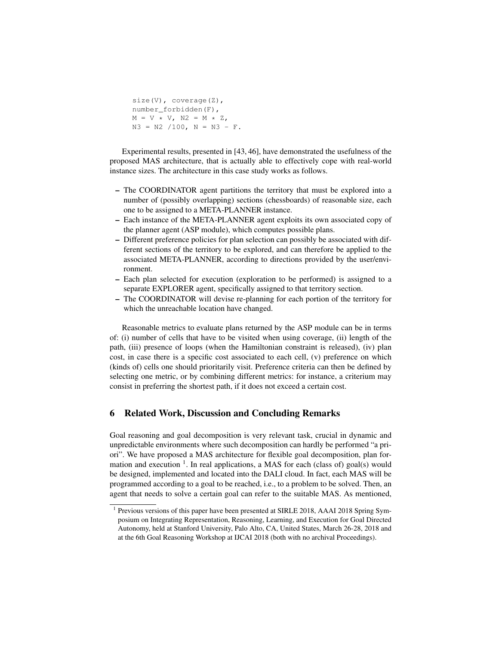```
size(V), coverage(Z),
number_forbidden(F),
M = V \star V, N2 = M \star Z,
N3 = N2 / 100, N = N3 - F.
```
Experimental results, presented in [43, 46], have demonstrated the usefulness of the proposed MAS architecture, that is actually able to effectively cope with real-world instance sizes. The architecture in this case study works as follows.

- The COORDINATOR agent partitions the territory that must be explored into a number of (possibly overlapping) sections (chessboards) of reasonable size, each one to be assigned to a META-PLANNER instance.
- Each instance of the META-PLANNER agent exploits its own associated copy of the planner agent (ASP module), which computes possible plans.
- Different preference policies for plan selection can possibly be associated with different sections of the territory to be explored, and can therefore be applied to the associated META-PLANNER, according to directions provided by the user/environment.
- Each plan selected for execution (exploration to be performed) is assigned to a separate EXPLORER agent, specifically assigned to that territory section.
- The COORDINATOR will devise re-planning for each portion of the territory for which the unreachable location have changed.

Reasonable metrics to evaluate plans returned by the ASP module can be in terms of: (i) number of cells that have to be visited when using coverage, (ii) length of the path, (iii) presence of loops (when the Hamiltonian constraint is released), (iv) plan cost, in case there is a specific cost associated to each cell, (v) preference on which (kinds of) cells one should prioritarily visit. Preference criteria can then be defined by selecting one metric, or by combining different metrics: for instance, a criterium may consist in preferring the shortest path, if it does not exceed a certain cost.

# 6 Related Work, Discussion and Concluding Remarks

Goal reasoning and goal decomposition is very relevant task, crucial in dynamic and unpredictable environments where such decomposition can hardly be performed "a priori". We have proposed a MAS architecture for flexible goal decomposition, plan formation and execution  $<sup>1</sup>$ . In real applications, a MAS for each (class of) goal(s) would</sup> be designed, implemented and located into the DALI cloud. In fact, each MAS will be programmed according to a goal to be reached, i.e., to a problem to be solved. Then, an agent that needs to solve a certain goal can refer to the suitable MAS. As mentioned,

<sup>&</sup>lt;sup>1</sup> Previous versions of this paper have been presented at SIRLE 2018, AAAI 2018 Spring Symposium on Integrating Representation, Reasoning, Learning, and Execution for Goal Directed Autonomy, held at Stanford University, Palo Alto, CA, United States, March 26-28, 2018 and at the 6th Goal Reasoning Workshop at IJCAI 2018 (both with no archival Proceedings).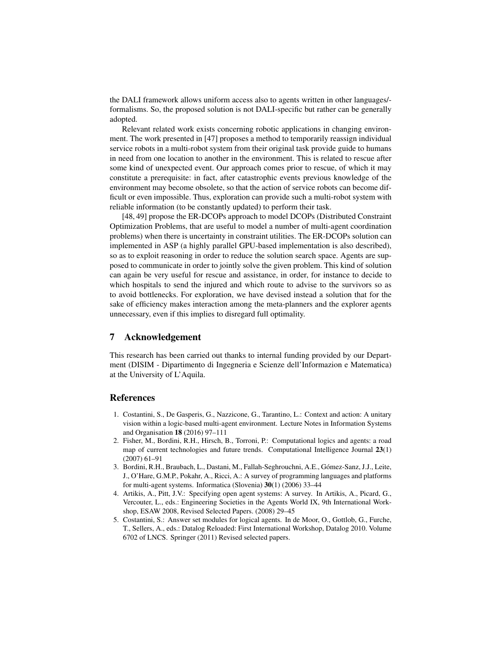the DALI framework allows uniform access also to agents written in other languages/ formalisms. So, the proposed solution is not DALI-specific but rather can be generally adopted.

Relevant related work exists concerning robotic applications in changing environment. The work presented in [47] proposes a method to temporarily reassign individual service robots in a multi-robot system from their original task provide guide to humans in need from one location to another in the environment. This is related to rescue after some kind of unexpected event. Our approach comes prior to rescue, of which it may constitute a prerequisite: in fact, after catastrophic events previous knowledge of the environment may become obsolete, so that the action of service robots can become difficult or even impossible. Thus, exploration can provide such a multi-robot system with reliable information (to be constantly updated) to perform their task.

[48, 49] propose the ER-DCOPs approach to model DCOPs (Distributed Constraint Optimization Problems, that are useful to model a number of multi-agent coordination problems) when there is uncertainty in constraint utilities. The ER-DCOPs solution can implemented in ASP (a highly parallel GPU-based implementation is also described), so as to exploit reasoning in order to reduce the solution search space. Agents are supposed to communicate in order to jointly solve the given problem. This kind of solution can again be very useful for rescue and assistance, in order, for instance to decide to which hospitals to send the injured and which route to advise to the survivors so as to avoid bottlenecks. For exploration, we have devised instead a solution that for the sake of efficiency makes interaction among the meta-planners and the explorer agents unnecessary, even if this implies to disregard full optimality.

### 7 Acknowledgement

This research has been carried out thanks to internal funding provided by our Department (DISIM - Dipartimento di Ingegneria e Scienze dell'Informazion e Matematica) at the University of L'Aquila.

#### References

- 1. Costantini, S., De Gasperis, G., Nazzicone, G., Tarantino, L.: Context and action: A unitary vision within a logic-based multi-agent environment. Lecture Notes in Information Systems and Organisation 18 (2016) 97–111
- 2. Fisher, M., Bordini, R.H., Hirsch, B., Torroni, P.: Computational logics and agents: a road map of current technologies and future trends. Computational Intelligence Journal 23(1) (2007) 61–91
- 3. Bordini, R.H., Braubach, L., Dastani, M., Fallah-Seghrouchni, A.E., Gómez-Sanz, J.J., Leite, J., O'Hare, G.M.P., Pokahr, A., Ricci, A.: A survey of programming languages and platforms for multi-agent systems. Informatica (Slovenia) 30(1) (2006) 33–44
- 4. Artikis, A., Pitt, J.V.: Specifying open agent systems: A survey. In Artikis, A., Picard, G., Vercouter, L., eds.: Engineering Societies in the Agents World IX, 9th International Workshop, ESAW 2008, Revised Selected Papers. (2008) 29–45
- 5. Costantini, S.: Answer set modules for logical agents. In de Moor, O., Gottlob, G., Furche, T., Sellers, A., eds.: Datalog Reloaded: First International Workshop, Datalog 2010. Volume 6702 of LNCS. Springer (2011) Revised selected papers.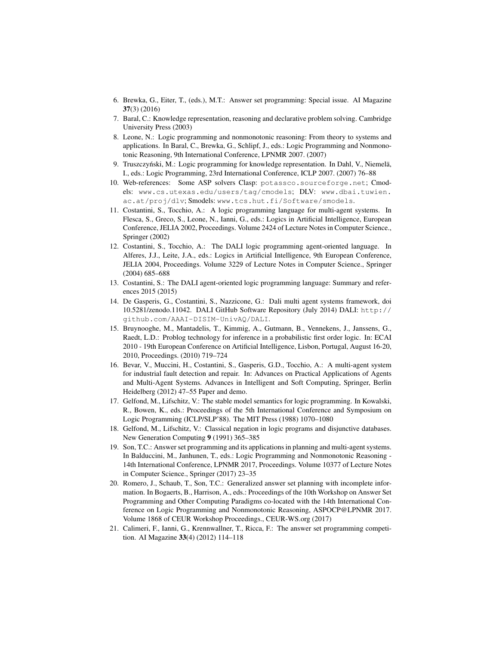- 6. Brewka, G., Eiter, T., (eds.), M.T.: Answer set programming: Special issue. AI Magazine 37(3) (2016)
- 7. Baral, C.: Knowledge representation, reasoning and declarative problem solving. Cambridge University Press (2003)
- 8. Leone, N.: Logic programming and nonmonotonic reasoning: From theory to systems and applications. In Baral, C., Brewka, G., Schlipf, J., eds.: Logic Programming and Nonmonotonic Reasoning, 9th International Conference, LPNMR 2007. (2007)
- 9. Truszczyński, M.: Logic programming for knowledge representation. In Dahl, V., Niemelä, I., eds.: Logic Programming, 23rd International Conference, ICLP 2007. (2007) 76–88
- 10. Web-references: Some ASP solvers Clasp: potassco.sourceforge.net; Cmodels: www.cs.utexas.edu/users/tag/cmodels; DLV: www.dbai.tuwien. ac.at/proj/dlv; Smodels: www.tcs.hut.fi/Software/smodels.
- 11. Costantini, S., Tocchio, A.: A logic programming language for multi-agent systems. In Flesca, S., Greco, S., Leone, N., Ianni, G., eds.: Logics in Artificial Intelligence, European Conference, JELIA 2002, Proceedings. Volume 2424 of Lecture Notes in Computer Science., Springer (2002)
- 12. Costantini, S., Tocchio, A.: The DALI logic programming agent-oriented language. In Alferes, J.J., Leite, J.A., eds.: Logics in Artificial Intelligence, 9th European Conference, JELIA 2004, Proceedings. Volume 3229 of Lecture Notes in Computer Science., Springer (2004) 685–688
- 13. Costantini, S.: The DALI agent-oriented logic programming language: Summary and references 2015 (2015)
- 14. De Gasperis, G., Costantini, S., Nazzicone, G.: Dali multi agent systems framework, doi 10.5281/zenodo.11042. DALI GitHub Software Repository (July 2014) DALI: http:// github.com/AAAI-DISIM-UnivAQ/DALI.
- 15. Bruynooghe, M., Mantadelis, T., Kimmig, A., Gutmann, B., Vennekens, J., Janssens, G., Raedt, L.D.: Problog technology for inference in a probabilistic first order logic. In: ECAI 2010 - 19th European Conference on Artificial Intelligence, Lisbon, Portugal, August 16-20, 2010, Proceedings. (2010) 719–724
- 16. Bevar, V., Muccini, H., Costantini, S., Gasperis, G.D., Tocchio, A.: A multi-agent system for industrial fault detection and repair. In: Advances on Practical Applications of Agents and Multi-Agent Systems. Advances in Intelligent and Soft Computing, Springer, Berlin Heidelberg (2012) 47–55 Paper and demo.
- 17. Gelfond, M., Lifschitz, V.: The stable model semantics for logic programming. In Kowalski, R., Bowen, K., eds.: Proceedings of the 5th International Conference and Symposium on Logic Programming (ICLP/SLP'88). The MIT Press (1988) 1070–1080
- 18. Gelfond, M., Lifschitz, V.: Classical negation in logic programs and disjunctive databases. New Generation Computing 9 (1991) 365–385
- 19. Son, T.C.: Answer set programming and its applications in planning and multi-agent systems. In Balduccini, M., Janhunen, T., eds.: Logic Programming and Nonmonotonic Reasoning - 14th International Conference, LPNMR 2017, Proceedings. Volume 10377 of Lecture Notes in Computer Science., Springer (2017) 23–35
- 20. Romero, J., Schaub, T., Son, T.C.: Generalized answer set planning with incomplete information. In Bogaerts, B., Harrison, A., eds.: Proceedings of the 10th Workshop on Answer Set Programming and Other Computing Paradigms co-located with the 14th International Conference on Logic Programming and Nonmonotonic Reasoning, ASPOCP@LPNMR 2017. Volume 1868 of CEUR Workshop Proceedings., CEUR-WS.org (2017)
- 21. Calimeri, F., Ianni, G., Krennwallner, T., Ricca, F.: The answer set programming competition. AI Magazine 33(4) (2012) 114–118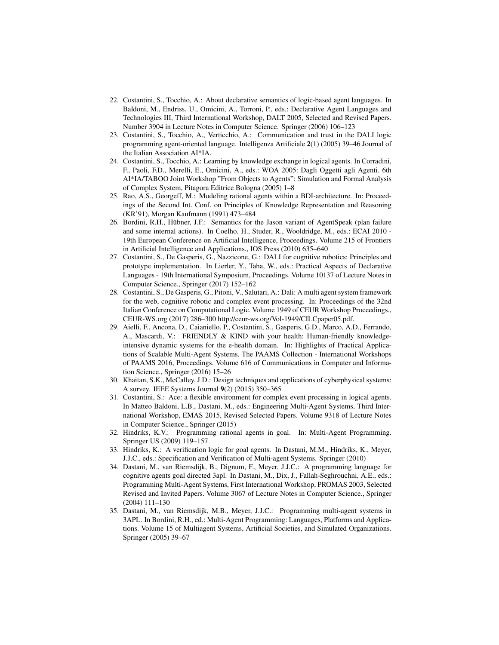- 22. Costantini, S., Tocchio, A.: About declarative semantics of logic-based agent languages. In Baldoni, M., Endriss, U., Omicini, A., Torroni, P., eds.: Declarative Agent Languages and Technologies III, Third International Workshop, DALT 2005, Selected and Revised Papers. Number 3904 in Lecture Notes in Computer Science. Springer (2006) 106–123
- 23. Costantini, S., Tocchio, A., Verticchio, A.: Communication and trust in the DALI logic programming agent-oriented language. Intelligenza Artificiale 2(1) (2005) 39–46 Journal of the Italian Association AI\*IA.
- 24. Costantini, S., Tocchio, A.: Learning by knowledge exchange in logical agents. In Corradini, F., Paoli, F.D., Merelli, E., Omicini, A., eds.: WOA 2005: Dagli Oggetti agli Agenti. 6th AI\*IA/TABOO Joint Workshop "From Objects to Agents": Simulation and Formal Analysis of Complex System, Pitagora Editrice Bologna (2005) 1–8
- 25. Rao, A.S., Georgeff, M.: Modeling rational agents within a BDI-architecture. In: Proceedings of the Second Int. Conf. on Principles of Knowledge Representation and Reasoning (KR'91), Morgan Kaufmann (1991) 473–484
- 26. Bordini, R.H., Hübner, J.F.: Semantics for the Jason variant of AgentSpeak (plan failure and some internal actions). In Coelho, H., Studer, R., Wooldridge, M., eds.: ECAI 2010 - 19th European Conference on Artificial Intelligence, Proceedings. Volume 215 of Frontiers in Artificial Intelligence and Applications., IOS Press (2010) 635–640
- 27. Costantini, S., De Gasperis, G., Nazzicone, G.: DALI for cognitive robotics: Principles and prototype implementation. In Lierler, Y., Taha, W., eds.: Practical Aspects of Declarative Languages - 19th International Symposium, Proceedings. Volume 10137 of Lecture Notes in Computer Science., Springer (2017) 152–162
- 28. Costantini, S., De Gasperis, G., Pitoni, V., Salutari, A.: Dali: A multi agent system framework for the web, cognitive robotic and complex event processing. In: Proceedings of the 32nd Italian Conference on Computational Logic. Volume 1949 of CEUR Workshop Proceedings., CEUR-WS.org (2017) 286–300 http://ceur-ws.org/Vol-1949/CILCpaper05.pdf.
- 29. Aielli, F., Ancona, D., Caianiello, P., Costantini, S., Gasperis, G.D., Marco, A.D., Ferrando, A., Mascardi, V.: FRIENDLY & KIND with your health: Human-friendly knowledgeintensive dynamic systems for the e-health domain. In: Highlights of Practical Applications of Scalable Multi-Agent Systems. The PAAMS Collection - International Workshops of PAAMS 2016, Proceedings. Volume 616 of Communications in Computer and Information Science., Springer (2016) 15–26
- 30. Khaitan, S.K., McCalley, J.D.: Design techniques and applications of cyberphysical systems: A survey. IEEE Systems Journal 9(2) (2015) 350–365
- 31. Costantini, S.: Ace: a flexible environment for complex event processing in logical agents. In Matteo Baldoni, L.B., Dastani, M., eds.: Engineering Multi-Agent Systems, Third International Workshop, EMAS 2015, Revised Selected Papers. Volume 9318 of Lecture Notes in Computer Science., Springer (2015)
- 32. Hindriks, K.V.: Programming rational agents in goal. In: Multi-Agent Programming. Springer US (2009) 119–157
- 33. Hindriks, K.: A verification logic for goal agents. In Dastani, M.M., Hindriks, K., Meyer, J.J.C., eds.: Specification and Verification of Multi-agent Systems. Springer (2010)
- 34. Dastani, M., van Riemsdijk, B., Dignum, F., Meyer, J.J.C.: A programming language for cognitive agents goal directed 3apl. In Dastani, M., Dix, J., Fallah-Seghrouchni, A.E., eds.: Programming Multi-Agent Systems, First International Workshop, PROMAS 2003, Selected Revised and Invited Papers. Volume 3067 of Lecture Notes in Computer Science., Springer (2004) 111–130
- 35. Dastani, M., van Riemsdijk, M.B., Meyer, J.J.C.: Programming multi-agent systems in 3APL. In Bordini, R.H., ed.: Multi-Agent Programming: Languages, Platforms and Applications. Volume 15 of Multiagent Systems, Artificial Societies, and Simulated Organizations. Springer (2005) 39–67